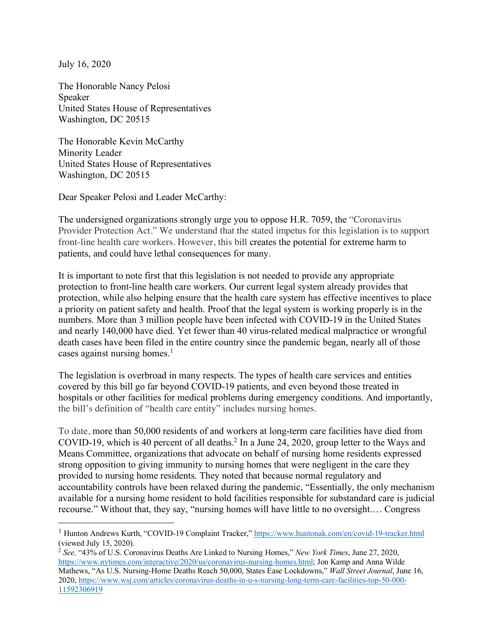July 16, 2020

The Honorable Nancy Pelosi Speaker United States House of Representatives Washington, DC 20515

The Honorable Kevin McCarthy Minority Leader United States House of Representatives Washington, DC 20515

Dear Speaker Pelosi and Leader McCarthy:

The undersigned organizations strongly urge you to oppose H.R. 7059, the "Coronavirus Provider Protection Act." We understand that the stated impetus for this legislation is to support front-line health care workers. However, this bill creates the potential for extreme harm to patients, and could have lethal consequences for many.

It is important to note first that this legislation is not needed to provide any appropriate protection to front-line health care workers. Our current legal system already provides that protection, while also helping ensure that the health care system has effective incentives to place a priority on patient safety and health. Proof that the legal system is working properly is in the numbers. More than 3 million people have been infected with COVID-19 in the United States and nearly 140,000 have died. Yet fewer than 40 virus-related medical malpractice or wrongful death cases have been filed in the entire country since the pandemic began, nearly all of those cases against nursing homes. 1

The legislation is overbroad in many respects. The types of health care services and entities covered by this bill go far beyond COVID-19 patients, and even beyond those treated in hospitals or other facilities for medical problems during emergency conditions. And importantly, the bill's definition of "health care entity" includes nursing homes.

To date, more than 50,000 residents of and workers at long-term care facilities have died from COVID-19, which is 40 percent of all deaths.2 In a June 24, 2020, group letter to the Ways and Means Committee, organizations that advocate on behalf of nursing home residents expressed strong opposition to giving immunity to nursing homes that were negligent in the care they provided to nursing home residents. They noted that because normal regulatory and accountability controls have been relaxed during the pandemic, "Essentially, the only mechanism available for a nursing home resident to hold facilities responsible for substandard care is judicial recourse." Without that, they say, "nursing homes will have little to no oversight.… Congress

<sup>&</sup>lt;sup>1</sup> Hunton Andrews Kurth, "COVID-19 Complaint Tracker," https://www.huntonak.com/en/covid-19-tracker.html (viewed July 15, 2020).

<sup>2</sup> *See,* "43% of U.S. Coronavirus Deaths Are Linked to Nursing Homes," *New York Times*, June 27, 2020, https://www.nytimes.com/interactive/2020/us/coronavirus-nursing-homes.html; Jon Kamp and Anna Wilde Mathews, "As U.S. Nursing-Home Deaths Reach 50,000, States Ease Lockdowns," *Wall Street Journal*, June 16, 2020, https://www.wsj.com/articles/coronavirus-deaths-in-u-s-nursing-long-term-care-facilities-top-50-000- 11592306919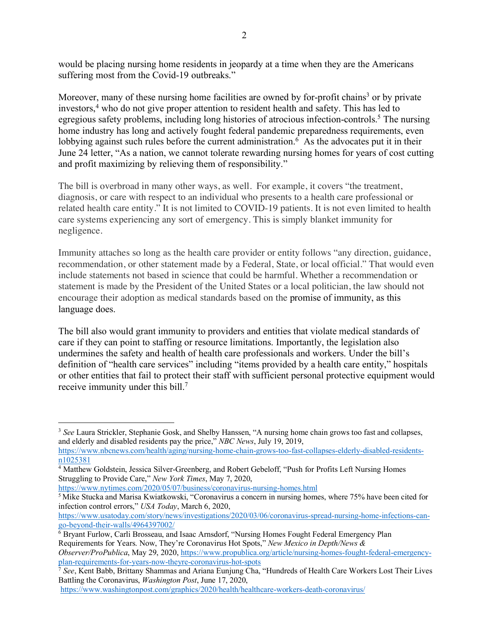would be placing nursing home residents in jeopardy at a time when they are the Americans suffering most from the Covid-19 outbreaks."

Moreover, many of these nursing home facilities are owned by for-profit chains<sup>3</sup> or by private investors,<sup>4</sup> who do not give proper attention to resident health and safety. This has led to egregious safety problems, including long histories of atrocious infection-controls.<sup>5</sup> The nursing home industry has long and actively fought federal pandemic preparedness requirements, even lobbying against such rules before the current administration.<sup>6</sup> As the advocates put it in their June 24 letter, "As a nation, we cannot tolerate rewarding nursing homes for years of cost cutting and profit maximizing by relieving them of responsibility."

The bill is overbroad in many other ways, as well. For example, it covers "the treatment, diagnosis, or care with respect to an individual who presents to a health care professional or related health care entity." It is not limited to COVID-19 patients. It is not even limited to health care systems experiencing any sort of emergency. This is simply blanket immunity for negligence.

Immunity attaches so long as the health care provider or entity follows "any direction, guidance, recommendation, or other statement made by a Federal, State, or local official." That would even include statements not based in science that could be harmful. Whether a recommendation or statement is made by the President of the United States or a local politician, the law should not encourage their adoption as medical standards based on the promise of immunity, as this language does.

The bill also would grant immunity to providers and entities that violate medical standards of care if they can point to staffing or resource limitations. Importantly, the legislation also undermines the safety and health of health care professionals and workers. Under the bill's definition of "health care services" including "items provided by a health care entity," hospitals or other entities that fail to protect their staff with sufficient personal protective equipment would receive immunity under this bill.<sup>7</sup>

https://www.nytimes.com/2020/05/07/business/coronavirus-nursing-homes.html

 $\overline{6}$  Bryant Furlow, Carli Brosseau, and Isaac Arnsdorf, "Nursing Homes Fought Federal Emergency Plan Requirements for Years. Now, They're Coronavirus Hot Spots," *New Mexico in Depth/News &* 

 <sup>3</sup> *See* Laura Strickler, Stephanie Gosk, and Shelby Hanssen, "A nursing home chain grows too fast and collapses, and elderly and disabled residents pay the price," *NBC News*, July 19, 2019,

https://www.nbcnews.com/health/aging/nursing-home-chain-grows-too-fast-collapses-elderly-disabled-residentsn1025381

<sup>&</sup>lt;sup>4</sup> Matthew Goldstein, Jessica Silver-Greenberg, and Robert Gebeloff, "Push for Profits Left Nursing Homes" Struggling to Provide Care," *New York Times*, May 7, 2020,

<sup>&</sup>lt;sup>5</sup> Mike Stucka and Marisa Kwiatkowski, "Coronavirus a concern in nursing homes, where 75% have been cited for infection control errors," *USA Today*, March 6, 2020,

https://www.usatoday.com/story/news/investigations/2020/03/06/coronavirus-spread-nursing-home-infections-cango-beyond-their-walls/4964397002/

*Observer/ProPublica*, May 29, 2020, https://www.propublica.org/article/nursing-homes-fought-federal-emergencyplan-requirements-for-years-now-theyre-coronavirus-hot-spots 7 *See*, Kent Babb, Brittany Shammas and Ariana Eunjung Cha, "Hundreds of Health Care Workers Lost Their Lives

Battling the Coronavirus, *Washington Post*, June 17, 2020,

https://www.washingtonpost.com/graphics/2020/health/healthcare-workers-death-coronavirus/